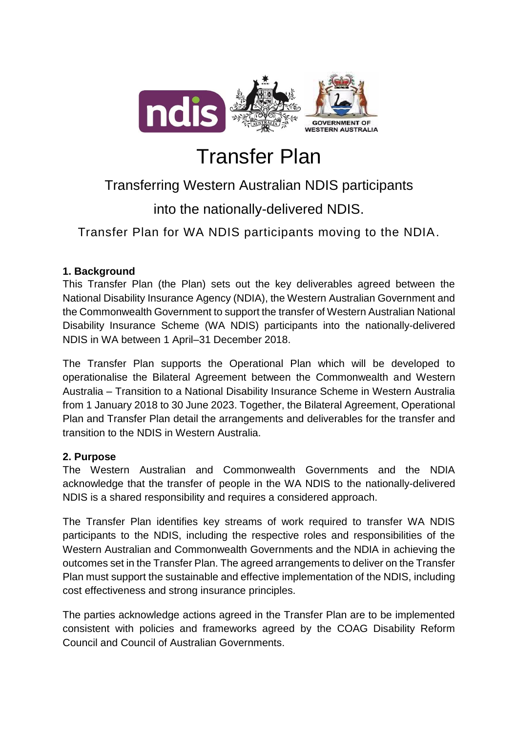

# Transfer Plan

# Transferring Western Australian NDIS participants

into the nationally-delivered NDIS.

Transfer Plan for WA NDIS participants moving to the NDIA.

# **1. Background**

This Transfer Plan (the Plan) sets out the key deliverables agreed between the National Disability Insurance Agency (NDIA), the Western Australian Government and the Commonwealth Government to support the transfer of Western Australian National Disability Insurance Scheme (WA NDIS) participants into the nationally-delivered NDIS in WA between 1 April–31 December 2018.

The Transfer Plan supports the Operational Plan which will be developed to operationalise the Bilateral Agreement between the Commonwealth and Western Australia – Transition to a National Disability Insurance Scheme in Western Australia from 1 January 2018 to 30 June 2023. Together, the Bilateral Agreement, Operational Plan and Transfer Plan detail the arrangements and deliverables for the transfer and transition to the NDIS in Western Australia.

## **2. Purpose**

The Western Australian and Commonwealth Governments and the NDIA acknowledge that the transfer of people in the WA NDIS to the nationally-delivered NDIS is a shared responsibility and requires a considered approach.

The Transfer Plan identifies key streams of work required to transfer WA NDIS participants to the NDIS, including the respective roles and responsibilities of the Western Australian and Commonwealth Governments and the NDIA in achieving the outcomes set in the Transfer Plan. The agreed arrangements to deliver on the Transfer Plan must support the sustainable and effective implementation of the NDIS, including cost effectiveness and strong insurance principles.

The parties acknowledge actions agreed in the Transfer Plan are to be implemented consistent with policies and frameworks agreed by the COAG Disability Reform Council and Council of Australian Governments.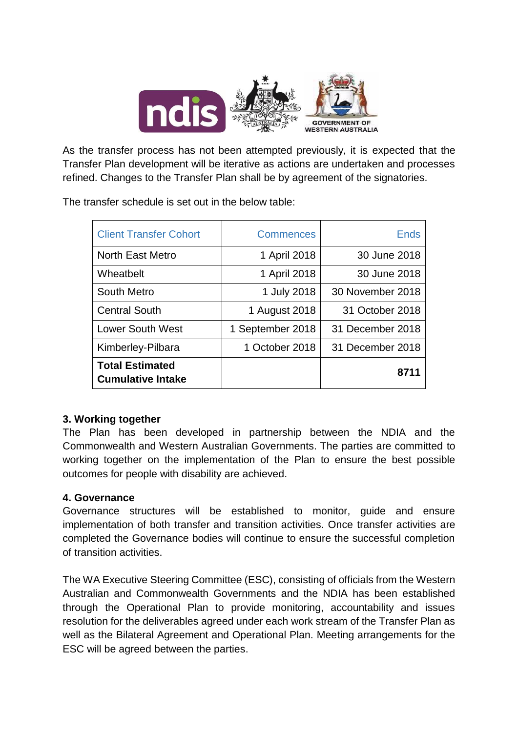

As the transfer process has not been attempted previously, it is expected that the Transfer Plan development will be iterative as actions are undertaken and processes refined. Changes to the Transfer Plan shall be by agreement of the signatories.

The transfer schedule is set out in the below table:

| <b>Client Transfer Cohort</b>                      | <b>Commences</b> | <b>Ends</b>      |
|----------------------------------------------------|------------------|------------------|
| <b>North East Metro</b>                            | 1 April 2018     | 30 June 2018     |
| Wheatbelt                                          | 1 April 2018     | 30 June 2018     |
| <b>South Metro</b>                                 | 1 July 2018      | 30 November 2018 |
| <b>Central South</b>                               | 1 August 2018    | 31 October 2018  |
| <b>Lower South West</b>                            | 1 September 2018 | 31 December 2018 |
| Kimberley-Pilbara                                  | 1 October 2018   | 31 December 2018 |
| <b>Total Estimated</b><br><b>Cumulative Intake</b> |                  | 8711             |

#### **3. Working together**

The Plan has been developed in partnership between the NDIA and the Commonwealth and Western Australian Governments. The parties are committed to working together on the implementation of the Plan to ensure the best possible outcomes for people with disability are achieved.

#### **4. Governance**

Governance structures will be established to monitor, guide and ensure implementation of both transfer and transition activities. Once transfer activities are completed the Governance bodies will continue to ensure the successful completion of transition activities.

The WA Executive Steering Committee (ESC), consisting of officials from the Western Australian and Commonwealth Governments and the NDIA has been established through the Operational Plan to provide monitoring, accountability and issues resolution for the deliverables agreed under each work stream of the Transfer Plan as well as the Bilateral Agreement and Operational Plan. Meeting arrangements for the ESC will be agreed between the parties.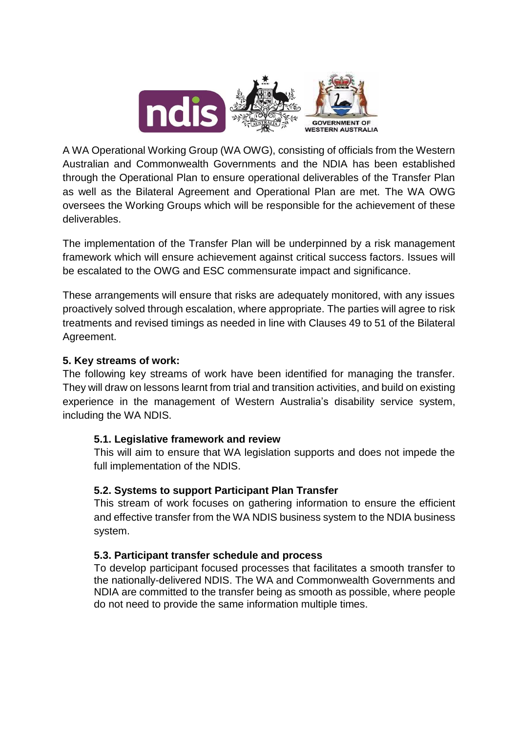

A WA Operational Working Group (WA OWG), consisting of officials from the Western Australian and Commonwealth Governments and the NDIA has been established through the Operational Plan to ensure operational deliverables of the Transfer Plan as well as the Bilateral Agreement and Operational Plan are met. The WA OWG oversees the Working Groups which will be responsible for the achievement of these deliverables.

The implementation of the Transfer Plan will be underpinned by a risk management framework which will ensure achievement against critical success factors. Issues will be escalated to the OWG and ESC commensurate impact and significance.

These arrangements will ensure that risks are adequately monitored, with any issues proactively solved through escalation, where appropriate. The parties will agree to risk treatments and revised timings as needed in line with Clauses 49 to 51 of the Bilateral Agreement.

#### **5. Key streams of work:**

The following key streams of work have been identified for managing the transfer. They will draw on lessons learnt from trial and transition activities, and build on existing experience in the management of Western Australia's disability service system, including the WA NDIS.

#### **5.1. Legislative framework and review**

This will aim to ensure that WA legislation supports and does not impede the full implementation of the NDIS.

#### **5.2. Systems to support Participant Plan Transfer**

This stream of work focuses on gathering information to ensure the efficient and effective transfer from the WA NDIS business system to the NDIA business system.

#### **5.3. Participant transfer schedule and process**

To develop participant focused processes that facilitates a smooth transfer to the nationally-delivered NDIS. The WA and Commonwealth Governments and NDIA are committed to the transfer being as smooth as possible, where people do not need to provide the same information multiple times.